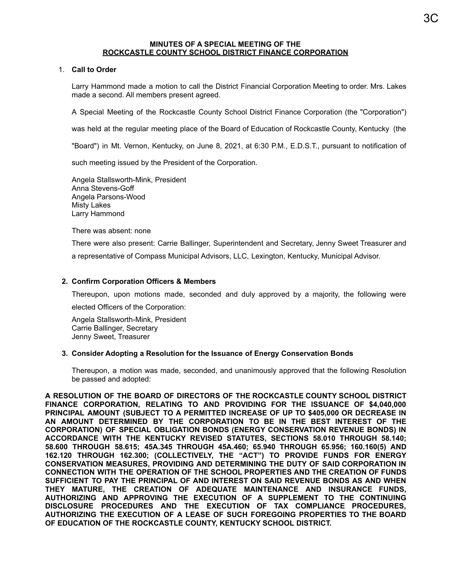#### **MINUTES OF A SPECIAL MEETING OF THE ROCKCASTLE COUNTY SCHOOL DISTRICT FINANCE CORPORATION**

### 1. **Call to Order**

Larry Hammond made a motion to call the District Financial Corporation Meeting to order. Mrs. Lakes made a second. All members present agreed.

A Special Meeting of the Rockcastle County School District Finance Corporation (the "Corporation")

was held at the regular meeting place of the Board of Education of Rockcastle County, Kentucky (the

"Board") in Mt. Vernon, Kentucky, on June 8, 2021, at 6:30 P.M., E.D.S.T., pursuant to notification of

such meeting issued by the President of the Corporation.

Angela Stallsworth-Mink, President Anna Stevens-Goff Angela Parsons-Wood Misty Lakes Larry Hammond

There was absent: none

There were also present: Carrie Ballinger, Superintendent and Secretary, Jenny Sweet Treasurer and a representative of Compass Municipal Advisors, LLC, Lexington, Kentucky, Municipal Advisor.

#### **2. Confirm Corporation Officers & Members**

Thereupon, upon motions made, seconded and duly approved by a majority, the following were

elected Officers of the Corporation:

Angela Stallsworth-Mink, President Carrie Ballinger, Secretary Jenny Sweet, Treasurer

#### **3. Consider Adopting a Resolution for the Issuance of Energy Conservation Bonds**

Thereupon, a motion was made, seconded, and unanimously approved that the following Resolution be passed and adopted:

**A RESOLUTION OF THE BOARD OF DIRECTORS OF THE ROCKCASTLE COUNTY SCHOOL DISTRICT FINANCE CORPORATION, RELATING TO AND PROVIDING FOR THE ISSUANCE OF \$4,040,000 PRINCIPAL AMOUNT (SUBJECT TO A PERMITTED INCREASE OF UP TO \$405,000 OR DECREASE IN AN AMOUNT DETERMINED BY THE CORPORATION TO BE IN THE BEST INTEREST OF THE CORPORATION) OF SPECIAL OBLIGATION BONDS (ENERGY CONSERVATION REVENUE BONDS) IN ACCORDANCE WITH THE KENTUCKY REVISED STATUTES, SECTIONS 58.010 THROUGH 58.140; 58.600 THROUGH 58.615; 45A.345 THROUGH 45A.460; 65.940 THROUGH 65.956; 160.160(5) AND 162.120 THROUGH 162.300; (COLLECTIVELY, THE "ACT") TO PROVIDE FUNDS FOR ENERGY CONSERVATION MEASURES, PROVIDING AND DETERMINING THE DUTY OF SAID CORPORATION IN CONNECTION WITH THE OPERATION OF THE SCHOOL PROPERTIES AND THE CREATION OF FUNDS SUFFICIENT TO PAY THE PRINCIPAL OF AND INTEREST ON SAID REVENUE BONDS AS AND WHEN THEY MATURE, THE CREATION OF ADEQUATE MAINTENANCE AND INSURANCE FUNDS, AUTHORIZING AND APPROVING THE EXECUTION OF A SUPPLEMENT TO THE CONTINUING DISCLOSURE PROCEDURES AND THE EXECUTION OF TAX COMPLIANCE PROCEDURES, AUTHORIZING THE EXECUTION OF A LEASE OF SUCH FOREGOING PROPERTIES TO THE BOARD OF EDUCATION OF THE ROCKCASTLE COUNTY, KENTUCKY SCHOOL DISTRICT.**